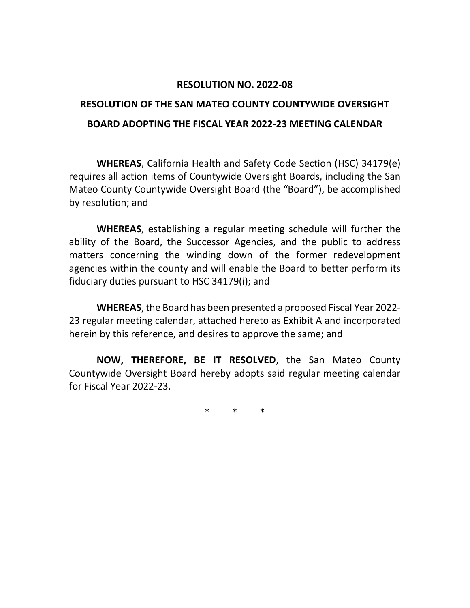#### **RESOLUTION NO. 2022-08**

# **RESOLUTION OF THE SAN MATEO COUNTY COUNTYWIDE OVERSIGHT BOARD ADOPTING THE FISCAL YEAR 2022-23 MEETING CALENDAR**

**WHEREAS**, California Health and Safety Code Section (HSC) 34179(e) requires all action items of Countywide Oversight Boards, including the San Mateo County Countywide Oversight Board (the "Board"), be accomplished by resolution; and

**WHEREAS**, establishing a regular meeting schedule will further the ability of the Board, the Successor Agencies, and the public to address matters concerning the winding down of the former redevelopment agencies within the county and will enable the Board to better perform its fiduciary duties pursuant to HSC 34179(i); and

**WHEREAS**, the Board has been presented a proposed Fiscal Year 2022- 23 regular meeting calendar, attached hereto as Exhibit A and incorporated herein by this reference, and desires to approve the same; and

**NOW, THEREFORE, BE IT RESOLVED**, the San Mateo County Countywide Oversight Board hereby adopts said regular meeting calendar for Fiscal Year 2022-23.

\* \* \*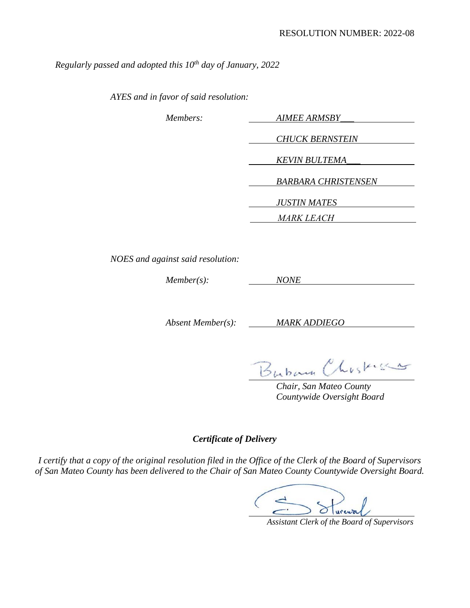*Regularly passed and adopted this 10th day of January, 2022* 

*AYES and in favor of said resolution:* 

| Members: | <b>AIMEE ARMSBY</b>        |
|----------|----------------------------|
|          | <b>CHUCK BERNSTEIN</b>     |
|          | <b>KEVIN BULTEMA</b>       |
|          | <b>BARBARA CHRISTENSEN</b> |
|          | <b>JUSTIN MATES</b>        |
|          | <b>MARK LEACH</b>          |

*NOES and against said resolution:* 

*Member(s): NONE*

*Absent Member(s): MARK ADDIEGO*

Buban Chistica

*Chair, San Mateo County Countywide Oversight Board* 

*Certificate of Delivery*

*I certify that a copy of the original resolution filed in the Office of the Clerk of the Board of Supervisors of San Mateo County has been delivered to the Chair of San Mateo County Countywide Oversight Board.* 

Sturewal

 *Assistant Clerk of the Board of Supervisors*